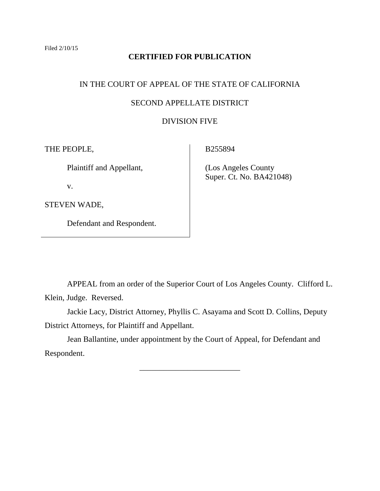## **CERTIFIED FOR PUBLICATION**

# IN THE COURT OF APPEAL OF THE STATE OF CALIFORNIA

## SECOND APPELLATE DISTRICT

## DIVISION FIVE

THE PEOPLE,

Plaintiff and Appellant,

v.

STEVEN WADE,

Defendant and Respondent.

B255894

 (Los Angeles County Super. Ct. No. BA421048)

APPEAL from an order of the Superior Court of Los Angeles County. Clifford L. Klein, Judge. Reversed.

Jackie Lacy, District Attorney, Phyllis C. Asayama and Scott D. Collins, Deputy District Attorneys, for Plaintiff and Appellant.

Jean Ballantine, under appointment by the Court of Appeal, for Defendant and Respondent.

\_\_\_\_\_\_\_\_\_\_\_\_\_\_\_\_\_\_\_\_\_\_\_\_\_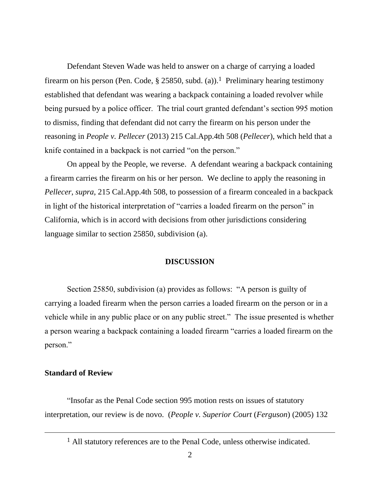Defendant Steven Wade was held to answer on a charge of carrying a loaded firearm on his person (Pen. Code, § 25850, subd. (a)).<sup>1</sup> Preliminary hearing testimony established that defendant was wearing a backpack containing a loaded revolver while being pursued by a police officer. The trial court granted defendant's section 995 motion to dismiss, finding that defendant did not carry the firearm on his person under the reasoning in *People v. Pellecer* (2013) 215 Cal.App.4th 508 (*Pellecer*), which held that a knife contained in a backpack is not carried "on the person."

On appeal by the People, we reverse. A defendant wearing a backpack containing a firearm carries the firearm on his or her person. We decline to apply the reasoning in *Pellecer*, *supra*, 215 Cal.App.4th 508, to possession of a firearm concealed in a backpack in light of the historical interpretation of "carries a loaded firearm on the person" in California, which is in accord with decisions from other jurisdictions considering language similar to section 25850, subdivision (a).

#### **DISCUSSION**

Section 25850, subdivision (a) provides as follows: "A person is guilty of carrying a loaded firearm when the person carries a loaded firearm on the person or in a vehicle while in any public place or on any public street." The issue presented is whether a person wearing a backpack containing a loaded firearm "carries a loaded firearm on the person."

## **Standard of Review**

 $\overline{a}$ 

"Insofar as the Penal Code section 995 motion rests on issues of statutory interpretation, our review is de novo. (*People v. Superior Court* (*Ferguson*) (2005) 132

<sup>1</sup> All statutory references are to the Penal Code, unless otherwise indicated.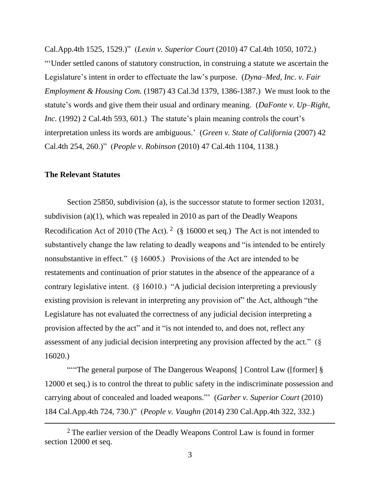Cal.App.4th 1525, 1529.)" (*Lexin v. Superior Court* (2010) 47 Cal.4th 1050, 1072.) "'Under settled canons of statutory construction, in construing a statute we ascertain the Legislature's intent in order to effectuate the law's purpose. (*Dyna–Med, Inc. v. Fair Employment & Housing Com.* (1987) 43 Cal.3d 1379, 1386-1387.) We must look to the statute's words and give them their usual and ordinary meaning. (*DaFonte v. Up–Right, Inc.* (1992) 2 Cal.4th 593, 601.) The statute's plain meaning controls the court's interpretation unless its words are ambiguous.' (*Green v. State of California* (2007) 42 Cal.4th 254, 260.)" (*People v. Robinson* (2010) 47 Cal.4th 1104, 1138.)

## **The Relevant Statutes**

 $\overline{a}$ 

Section 25850, subdivision (a), is the successor statute to former section 12031, subdivision (a)(1), which was repealed in 2010 as part of the Deadly Weapons Recodification Act of 2010 (The Act). <sup>2</sup> (§ 16000 et seq.) The Act is not intended to substantively change the law relating to deadly weapons and "is intended to be entirely nonsubstantive in effect." (§ 16005.) Provisions of the Act are intended to be restatements and continuation of prior statutes in the absence of the appearance of a contrary legislative intent. (§ 16010.) "A judicial decision interpreting a previously existing provision is relevant in interpreting any provision of" the Act, although "the Legislature has not evaluated the correctness of any judicial decision interpreting a provision affected by the act" and it "is not intended to, and does not, reflect any assessment of any judicial decision interpreting any provision affected by the act." (§ 16020.)

""The general purpose of The Dangerous Weapons[] Control Law ([former]  $\S$ 12000 et seq.) is to control the threat to public safety in the indiscriminate possession and carrying about of concealed and loaded weapons."' (*Garber v. Superior Court* (2010) 184 Cal.App.4th 724, 730.)" (*People v. Vaughn* (2014) 230 Cal.App.4th 322, 332.)

<sup>&</sup>lt;sup>2</sup> The earlier version of the Deadly Weapons Control Law is found in former section 12000 et seq.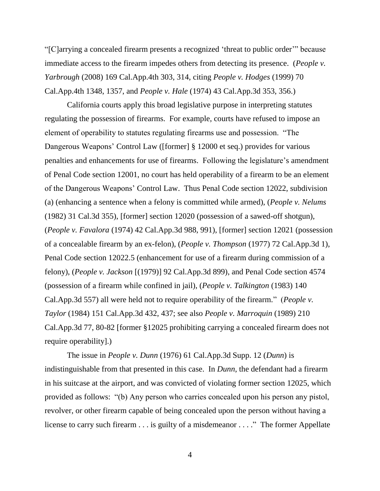"[C]arrying a concealed firearm presents a recognized 'threat to public order'" because immediate access to the firearm impedes others from detecting its presence. (*People v. Yarbrough* (2008) 169 Cal.App.4th 303, 314, citing *People v. Hodges* (1999) 70 Cal.App.4th 1348, 1357, and *People v. Hale* (1974) 43 Cal.App.3d 353, 356.)

California courts apply this broad legislative purpose in interpreting statutes regulating the possession of firearms. For example, courts have refused to impose an element of operability to statutes regulating firearms use and possession. "The Dangerous Weapons' Control Law ([former] § 12000 et seq.) provides for various penalties and enhancements for use of firearms. Following the legislature's amendment of Penal Code section 12001, no court has held operability of a firearm to be an element of the Dangerous Weapons' Control Law. Thus Penal Code section 12022, subdivision (a) (enhancing a sentence when a felony is committed while armed), (*People v. Nelums* (1982) 31 Cal.3d 355), [former] section 12020 (possession of a sawed-off shotgun), (*People v. Favalora* (1974) 42 Cal.App.3d 988, 991), [former] section 12021 (possession of a concealable firearm by an ex-felon), (*People v. Thompson* (1977) 72 Cal.App.3d 1), Penal Code section 12022.5 (enhancement for use of a firearm during commission of a felony), (*People v. Jackson* [(1979)] 92 Cal.App.3d 899), and Penal Code section 4574 (possession of a firearm while confined in jail), (*People v. Talkington* (1983) 140 Cal.App.3d 557) all were held not to require operability of the firearm." (*People v. Taylor* (1984) 151 Cal.App.3d 432, 437; see also *People v. Marroquin* (1989) 210 Cal.App.3d 77, 80-82 [former §12025 prohibiting carrying a concealed firearm does not require operability].)

The issue in *People v. Dunn* (1976) 61 Cal.App.3d Supp. 12 (*Dunn*) is indistinguishable from that presented in this case. In *Dunn*, the defendant had a firearm in his suitcase at the airport, and was convicted of violating former section 12025, which provided as follows: "(b) Any person who carries concealed upon his person any pistol, revolver, or other firearm capable of being concealed upon the person without having a license to carry such firearm . . . is guilty of a misdemeanor . . . ." The former Appellate

4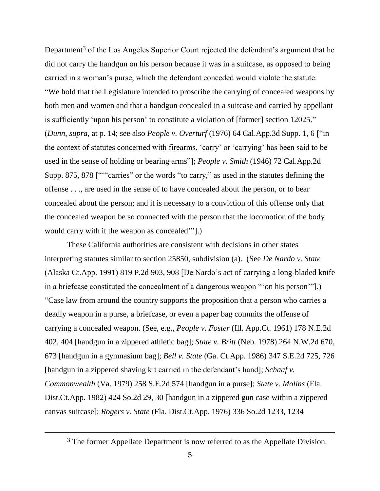Department<sup>3</sup> of the Los Angeles Superior Court rejected the defendant's argument that he did not carry the handgun on his person because it was in a suitcase, as opposed to being carried in a woman's purse, which the defendant conceded would violate the statute. "We hold that the Legislature intended to proscribe the carrying of concealed weapons by both men and women and that a handgun concealed in a suitcase and carried by appellant is sufficiently 'upon his person' to constitute a violation of [former] section 12025." (*Dunn*, *supra*, at p. 14; see also *People v. Overturf* (1976) 64 Cal.App.3d Supp. 1, 6 ["in the context of statutes concerned with firearms, 'carry' or 'carrying' has been said to be used in the sense of holding or bearing arms"]; *People v. Smith* (1946) 72 Cal.App.2d Supp. 875, 878 [""carries" or the words "to carry," as used in the statutes defining the offense . . ., are used in the sense of to have concealed about the person, or to bear concealed about the person; and it is necessary to a conviction of this offense only that the concealed weapon be so connected with the person that the locomotion of the body would carry with it the weapon as concealed'"].)

These California authorities are consistent with decisions in other states interpreting statutes similar to section 25850, subdivision (a). (See *De Nardo v. State* (Alaska Ct.App. 1991) 819 P.2d 903, 908 [De Nardo's act of carrying a long-bladed knife in a briefcase constituted the concealment of a dangerous weapon "'on his person'"].) "Case law from around the country supports the proposition that a person who carries a deadly weapon in a purse, a briefcase, or even a paper bag commits the offense of carrying a concealed weapon. (See, e.g., *People v. Foster* (Ill. App.Ct. 1961) 178 N.E.2d 402, 404 [handgun in a zippered athletic bag]; *State v. Britt* (Neb. 1978) 264 N.W.2d 670, 673 [handgun in a gymnasium bag]; *Bell v. State* (Ga. Ct.App. 1986) 347 S.E.2d 725, 726 [handgun in a zippered shaving kit carried in the defendant's hand]; *Schaaf v. Commonwealth* (Va. 1979) 258 S.E.2d 574 [handgun in a purse]; *State v. Molins* (Fla. Dist.Ct.App. 1982) 424 So.2d 29, 30 [handgun in a zippered gun case within a zippered canvas suitcase]; *Rogers v. State* (Fla. Dist.Ct.App. 1976) 336 So.2d 1233, 1234

 $\overline{a}$ 

<sup>&</sup>lt;sup>3</sup> The former Appellate Department is now referred to as the Appellate Division.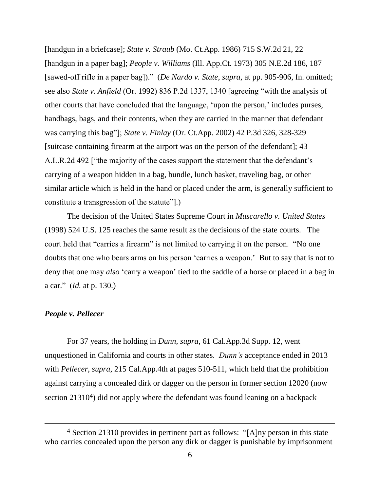[handgun in a briefcase]; *State v. Straub* (Mo. Ct.App. 1986) 715 S.W.2d 21, 22 [handgun in a paper bag]; *People v. Williams* (Ill. App.Ct. 1973) 305 N.E.2d 186, 187 [sawed-off rifle in a paper bag])." (*De Nardo v. State*, *supra*, at pp. 905-906, fn. omitted; see also *State v. Anfield* (Or. 1992) 836 P.2d 1337, 1340 [agreeing "with the analysis of other courts that have concluded that the language, 'upon the person,' includes purses, handbags, bags, and their contents, when they are carried in the manner that defendant was carrying this bag"]; *State v. Finlay* (Or. Ct.App. 2002) 42 P.3d 326, 328-329 [suitcase containing firearm at the airport was on the person of the defendant]; 43 A.L.R.2d 492 ["the majority of the cases support the statement that the defendant's carrying of a weapon hidden in a bag, bundle, lunch basket, traveling bag, or other similar article which is held in the hand or placed under the arm, is generally sufficient to constitute a transgression of the statute"].)

The decision of the United States Supreme Court in *Muscarello v. United States* (1998) 524 U.S. 125 reaches the same result as the decisions of the state courts. The court held that "carries a firearm" is not limited to carrying it on the person. "No one doubts that one who bears arms on his person 'carries a weapon.' But to say that is not to deny that one may *also* 'carry a weapon' tied to the saddle of a horse or placed in a bag in a car." (*Id.* at p. 130.)

### *People v. Pellecer*

 $\overline{a}$ 

For 37 years, the holding in *Dunn*, *supra*, 61 Cal.App.3d Supp. 12, went unquestioned in California and courts in other states. *Dunn's* acceptance ended in 2013 with *Pellecer*, *supra*, 215 Cal.App.4th at pages 510-511, which held that the prohibition against carrying a concealed dirk or dagger on the person in former section 12020 (now section  $21310<sup>4</sup>$ ) did not apply where the defendant was found leaning on a backpack

<sup>4</sup> Section 21310 provides in pertinent part as follows: "[A]ny person in this state who carries concealed upon the person any dirk or dagger is punishable by imprisonment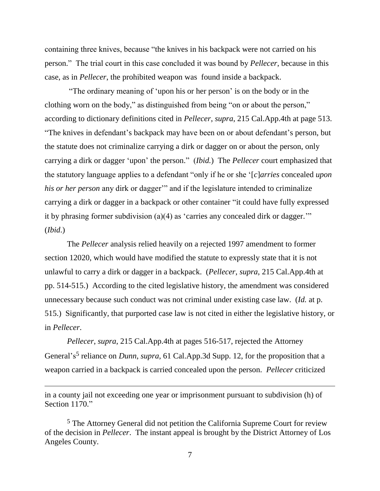containing three knives, because "the knives in his backpack were not carried on his person." The trial court in this case concluded it was bound by *Pellecer*, because in this case, as in *Pellecer*, the prohibited weapon was found inside a backpack.

"The ordinary meaning of 'upon his or her person' is on the body or in the clothing worn on the body," as distinguished from being "on or about the person," according to dictionary definitions cited in *Pellecer*, *supra*, 215 Cal.App.4th at page 513. "The knives in defendant's backpack may have been on or about defendant's person, but the statute does not criminalize carrying a dirk or dagger on or about the person, only carrying a dirk or dagger 'upon' the person." (*Ibid.*) The *Pellecer* court emphasized that the statutory language applies to a defendant "only if he or she '[*c*]*arries* concealed *upon his or her person* any dirk or dagger" and if the legislature intended to criminalize carrying a dirk or dagger in a backpack or other container "it could have fully expressed it by phrasing former subdivision (a)(4) as 'carries any concealed dirk or dagger.'" (*Ibid*.)

The *Pellecer* analysis relied heavily on a rejected 1997 amendment to former section 12020, which would have modified the statute to expressly state that it is not unlawful to carry a dirk or dagger in a backpack. (*Pellecer*, *supra*, 215 Cal.App.4th at pp. 514-515.) According to the cited legislative history, the amendment was considered unnecessary because such conduct was not criminal under existing case law. (*Id.* at p. 515.) Significantly, that purported case law is not cited in either the legislative history, or in *Pellecer*.

*Pellecer*, *supra*, 215 Cal.App.4th at pages 516-517, rejected the Attorney General's<sup>5</sup> reliance on *Dunn*, *supra*, 61 Cal.App.3d Supp. 12, for the proposition that a weapon carried in a backpack is carried concealed upon the person. *Pellecer* criticized

in a county jail not exceeding one year or imprisonment pursuant to subdivision (h) of Section 1170."

<sup>5</sup> The Attorney General did not petition the California Supreme Court for review of the decision in *Pellecer*. The instant appeal is brought by the District Attorney of Los Angeles County.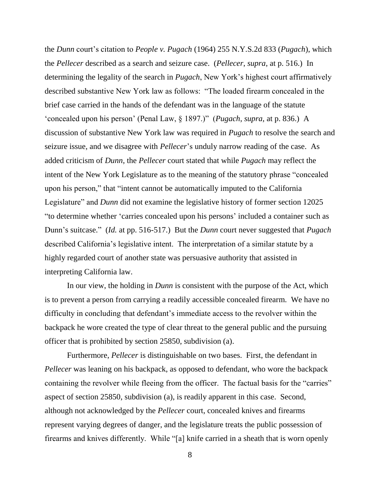the *Dunn* court's citation to *People v. Pugach* (1964) 255 N.Y.S.2d 833 (*Pugach*), which the *Pellecer* described as a search and seizure case. (*Pellecer*, *supra*, at p. 516.) In determining the legality of the search in *Pugach*, New York's highest court affirmatively described substantive New York law as follows: "The loaded firearm concealed in the brief case carried in the hands of the defendant was in the language of the statute 'concealed upon his person' (Penal Law, § 1897.)" (*Pugach*, *supra*, at p. 836.) A discussion of substantive New York law was required in *Pugach* to resolve the search and seizure issue, and we disagree with *Pellecer*'s unduly narrow reading of the case. As added criticism of *Dunn*, the *Pellecer* court stated that while *Pugach* may reflect the intent of the New York Legislature as to the meaning of the statutory phrase "concealed upon his person," that "intent cannot be automatically imputed to the California Legislature" and *Dunn* did not examine the legislative history of former section 12025 "to determine whether 'carries concealed upon his persons' included a container such as Dunn's suitcase." (*Id.* at pp. 516-517.) But the *Dunn* court never suggested that *Pugach* described California's legislative intent. The interpretation of a similar statute by a highly regarded court of another state was persuasive authority that assisted in interpreting California law.

In our view, the holding in *Dunn* is consistent with the purpose of the Act, which is to prevent a person from carrying a readily accessible concealed firearm. We have no difficulty in concluding that defendant's immediate access to the revolver within the backpack he wore created the type of clear threat to the general public and the pursuing officer that is prohibited by section 25850, subdivision (a).

Furthermore, *Pellecer* is distinguishable on two bases. First, the defendant in *Pellecer* was leaning on his backpack, as opposed to defendant, who wore the backpack containing the revolver while fleeing from the officer. The factual basis for the "carries" aspect of section 25850, subdivision (a), is readily apparent in this case. Second, although not acknowledged by the *Pellecer* court, concealed knives and firearms represent varying degrees of danger, and the legislature treats the public possession of firearms and knives differently. While "[a] knife carried in a sheath that is worn openly

8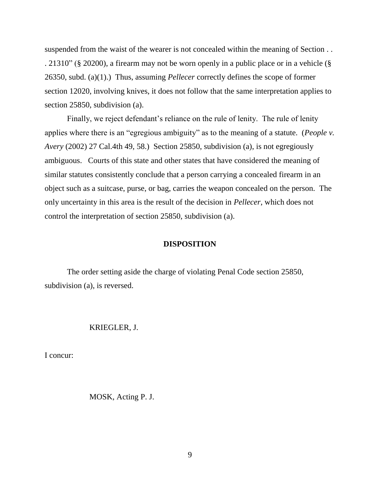suspended from the waist of the wearer is not concealed within the meaning of Section . . . 21310" (§ 20200), a firearm may not be worn openly in a public place or in a vehicle (§ 26350, subd. (a)(1).) Thus, assuming *Pellecer* correctly defines the scope of former section 12020, involving knives, it does not follow that the same interpretation applies to section 25850, subdivision (a).

Finally, we reject defendant's reliance on the rule of lenity. The rule of lenity applies where there is an "egregious ambiguity" as to the meaning of a statute. (*People v. Avery* (2002) 27 Cal.4th 49, 58.) Section 25850, subdivision (a), is not egregiously ambiguous. Courts of this state and other states that have considered the meaning of similar statutes consistently conclude that a person carrying a concealed firearm in an object such as a suitcase, purse, or bag, carries the weapon concealed on the person. The only uncertainty in this area is the result of the decision in *Pellecer*, which does not control the interpretation of section 25850, subdivision (a).

#### **DISPOSITION**

The order setting aside the charge of violating Penal Code section 25850, subdivision (a), is reversed.

#### KRIEGLER, J.

I concur:

MOSK, Acting P. J.